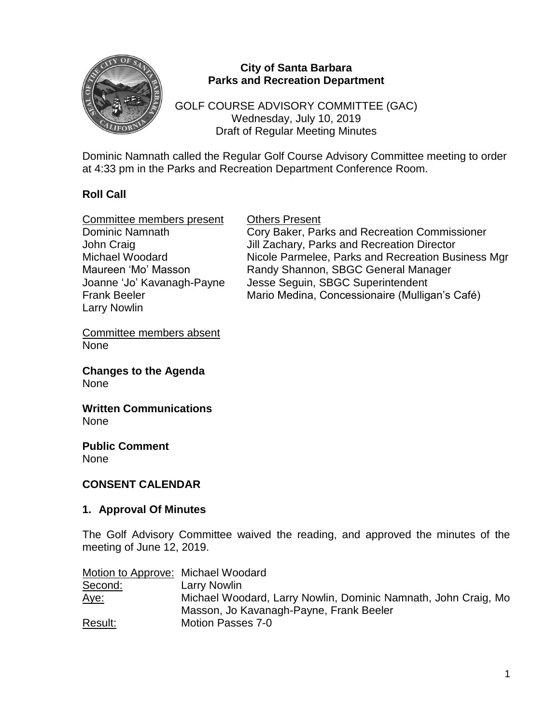

### **City of Santa Barbara Parks and Recreation Department**

GOLF COURSE ADVISORY COMMITTEE (GAC) Wednesday, July 10, 2019 Draft of Regular Meeting Minutes

Dominic Namnath called the Regular Golf Course Advisory Committee meeting to order at 4:33 pm in the Parks and Recreation Department Conference Room.

# **Roll Call**

| <b>Others Present</b>                              |
|----------------------------------------------------|
| Cory Baker, Parks and Recreation Commissioner      |
| Jill Zachary, Parks and Recreation Director        |
| Nicole Parmelee, Parks and Recreation Business Mgr |
| Randy Shannon, SBGC General Manager                |
| Jesse Seguin, SBGC Superintendent                  |
| Mario Medina, Concessionaire (Mulligan's Café)     |
|                                                    |

Committee members absent None

**Changes to the Agenda** None

**Written Communications** None

**Public Comment** None

#### **CONSENT CALENDAR**

#### **1. Approval Of Minutes**

The Golf Advisory Committee waived the reading, and approved the minutes of the meeting of June 12, 2019.

| Motion to Approve: Michael Woodard |                                                                |
|------------------------------------|----------------------------------------------------------------|
| Second:                            | Larry Nowlin                                                   |
| <u>Aye:</u>                        | Michael Woodard, Larry Nowlin, Dominic Namnath, John Craig, Mo |
|                                    | Masson, Jo Kavanagh-Payne, Frank Beeler                        |
| Result:                            | Motion Passes 7-0                                              |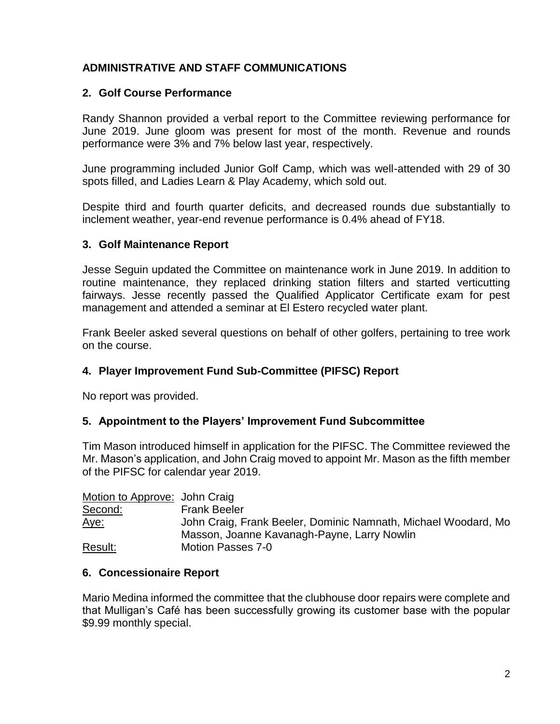# **ADMINISTRATIVE AND STAFF COMMUNICATIONS**

### **2. Golf Course Performance**

Randy Shannon provided a verbal report to the Committee reviewing performance for June 2019. June gloom was present for most of the month. Revenue and rounds performance were 3% and 7% below last year, respectively.

June programming included Junior Golf Camp, which was well-attended with 29 of 30 spots filled, and Ladies Learn & Play Academy, which sold out.

Despite third and fourth quarter deficits, and decreased rounds due substantially to inclement weather, year-end revenue performance is 0.4% ahead of FY18.

#### **3. Golf Maintenance Report**

Jesse Seguin updated the Committee on maintenance work in June 2019. In addition to routine maintenance, they replaced drinking station filters and started verticutting fairways. Jesse recently passed the Qualified Applicator Certificate exam for pest management and attended a seminar at El Estero recycled water plant.

Frank Beeler asked several questions on behalf of other golfers, pertaining to tree work on the course.

#### **4. Player Improvement Fund Sub-Committee (PIFSC) Report**

No report was provided.

#### **5. Appointment to the Players' Improvement Fund Subcommittee**

Tim Mason introduced himself in application for the PIFSC. The Committee reviewed the Mr. Mason's application, and John Craig moved to appoint Mr. Mason as the fifth member of the PIFSC for calendar year 2019.

| Motion to Approve: John Craig |                                                                |
|-------------------------------|----------------------------------------------------------------|
| Second:                       | <b>Frank Beeler</b>                                            |
| <u>Aye:</u>                   | John Craig, Frank Beeler, Dominic Namnath, Michael Woodard, Mo |
|                               | Masson, Joanne Kavanagh-Payne, Larry Nowlin                    |
| Result:                       | Motion Passes 7-0                                              |

#### **6. Concessionaire Report**

Mario Medina informed the committee that the clubhouse door repairs were complete and that Mulligan's Café has been successfully growing its customer base with the popular \$9.99 monthly special.